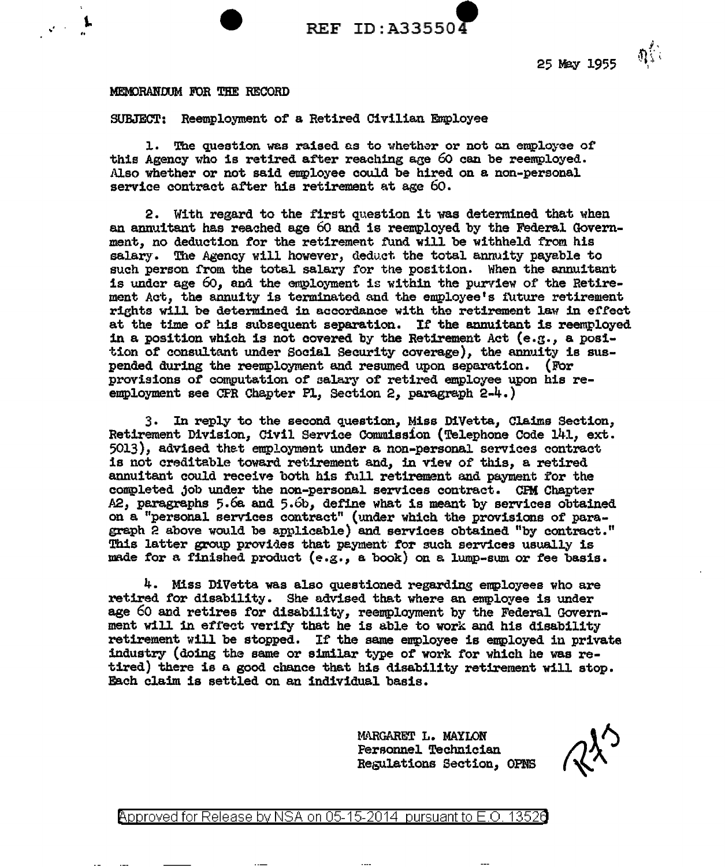

25 May 1955

 $\eta^{\ell}_{1}$  .

## MEMORANDUM FOR THE RECORD

SUBJECT: Reemployment of a Retired Civilian Employee

1. The question was raised as to whether or not an employee of this Agency who is retired after reaching age 60 can be reemployed. Also whether or not said employee could be hired on a non-personal service contract after his retirement at age 60.

2. With regard to the first question it was determined that when an annuitant has reached age 60 and is reemployed by the Federal Government, no deduction for the retirement fund will be withheld from his salary. The Agency will however, deduct the total annuity payable to such person from the total salary for tne position. When the annuitant is under age  $60$ , and the employment is within the purview of the Retirement Act, the annuity is terminated and the employee's future retirement rights will be determined in accordance with the retirement law in effect at the time of his subsequent separation. If the annuitant is reemployed in a position which is not covered by the Retirement Act  $(e.g., a posi-)$ tion of consultant under Social Security coverage), the annuity is suspended during the reemployment and resumed upon separation. (For provisions of' computation of salary of retired employee upon his reemployment see CFR Chapter Pl, Section 2, paragraph 2-4.)

3. In reply to the second question, Miss D1Vetta, Claims Section, Retirement Division, Civil Service Commission (Telephone Code 141, ext. 5013), advised thet employment under a non-personal services contract is not creditable toward retirement and, in view of this, a retired annuitant could receive both his full retirement and payment for the completed job under the non-personal services contract. CFM Chapter  $\Delta$  2, paragraphs 5.6a and 5.6b, define what is meant by services obtained on a "personal services contract" (under which the provisions of paragraph  $\hat{P}$  above would be applicable) and services obtained "by contract." This latter group provides that peyment for such services usually is made for a finished product (e.g., a book) on a lump-sum or fee basis.

4. Miss DiVetta was also questioned regarding employees who are retired for disability. Sne advised that where an employee is under age 60 and retires for disability, reemployment by the Federal Government will in effect verify that he is able to work and his disability retirement will be stopped. If the same employee is employed in private industry (doing the same or similar type of work for which he was retired) there is a good chance that his disability retirement will stop. Each claim is settled on an individual basis.

> MARGARET L. MAYLON Personnel Technician Regulations Section, OPNS

@'pproved for Release by NSA on 05-15-2014 pursuant to E.O. 1352e